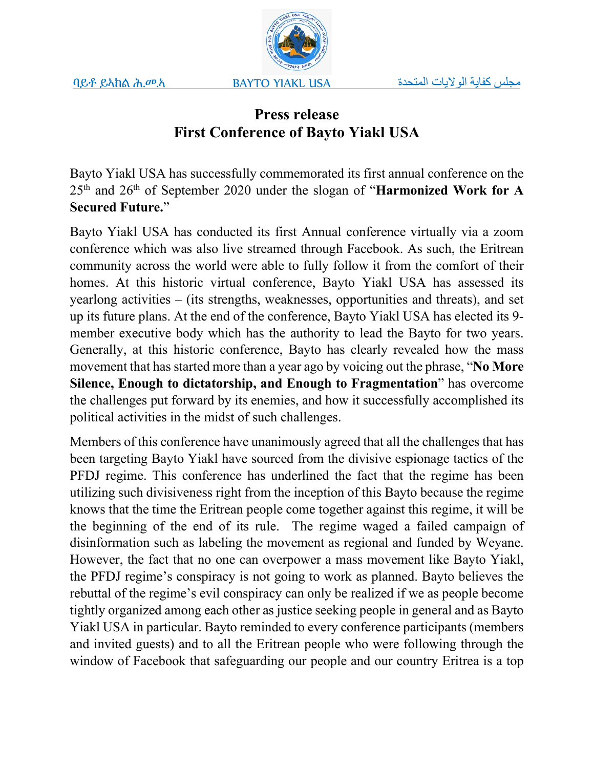

# **Press release First Conference of Bayto Yiakl USA**

Bayto Yiakl USA has successfully commemorated its first annual conference on the 25th and 26th of September 2020 under the slogan of "**Harmonized Work for A Secured Future.**"

Bayto Yiakl USA has conducted its first Annual conference virtually via a zoom conference which was also live streamed through Facebook. As such, the Eritrean community across the world were able to fully follow it from the comfort of their homes. At this historic virtual conference, Bayto Yiakl USA has assessed its yearlong activities – (its strengths, weaknesses, opportunities and threats), and set up its future plans. At the end of the conference, Bayto Yiakl USA has elected its 9 member executive body which has the authority to lead the Bayto for two years. Generally, at this historic conference, Bayto has clearly revealed how the mass movement that has started more than a year ago by voicing out the phrase, "**No More Silence, Enough to dictatorship, and Enough to Fragmentation**" has overcome the challenges put forward by its enemies, and how it successfully accomplished its political activities in the midst of such challenges.

Members of this conference have unanimously agreed that all the challenges that has been targeting Bayto Yiakl have sourced from the divisive espionage tactics of the PFDJ regime. This conference has underlined the fact that the regime has been utilizing such divisiveness right from the inception of this Bayto because the regime knows that the time the Eritrean people come together against this regime, it will be the beginning of the end of its rule. The regime waged a failed campaign of disinformation such as labeling the movement as regional and funded by Weyane. However, the fact that no one can overpower a mass movement like Bayto Yiakl, the PFDJ regime's conspiracy is not going to work as planned. Bayto believes the rebuttal of the regime's evil conspiracy can only be realized if we as people become tightly organized among each other as justice seeking people in general and as Bayto Yiakl USA in particular. Bayto reminded to every conference participants (members and invited guests) and to all the Eritrean people who were following through the window of Facebook that safeguarding our people and our country Eritrea is a top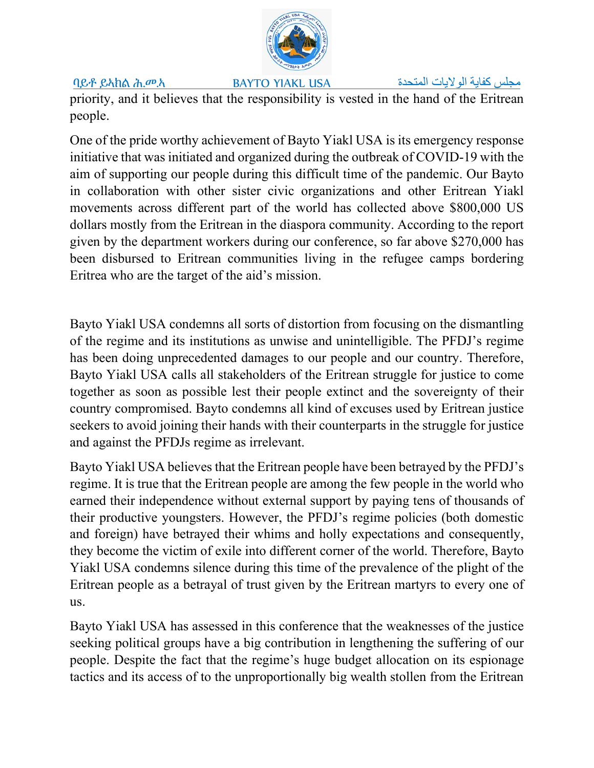ባይቶ ይኣክል ሕ.መ.ኣ BAYTO YIAKL USA المتحدة الولایات المتحدة الولایات كفایة لولایات كفایة لولایات كفایه مجلس

priority, and it believes that the responsibility is vested in the hand of the Eritrean people.

One of the pride worthy achievement of Bayto Yiakl USA is its emergency response initiative that was initiated and organized during the outbreak of COVID-19 with the aim of supporting our people during this difficult time of the pandemic. Our Bayto in collaboration with other sister civic organizations and other Eritrean Yiakl movements across different part of the world has collected above \$800,000 US dollars mostly from the Eritrean in the diaspora community. According to the report given by the department workers during our conference, so far above \$270,000 has been disbursed to Eritrean communities living in the refugee camps bordering Eritrea who are the target of the aid's mission.

Bayto Yiakl USA condemns all sorts of distortion from focusing on the dismantling of the regime and its institutions as unwise and unintelligible. The PFDJ's regime has been doing unprecedented damages to our people and our country. Therefore, Bayto Yiakl USA calls all stakeholders of the Eritrean struggle for justice to come together as soon as possible lest their people extinct and the sovereignty of their country compromised. Bayto condemns all kind of excuses used by Eritrean justice seekers to avoid joining their hands with their counterparts in the struggle for justice and against the PFDJs regime as irrelevant.

Bayto Yiakl USA believes that the Eritrean people have been betrayed by the PFDJ's regime. It is true that the Eritrean people are among the few people in the world who earned their independence without external support by paying tens of thousands of their productive youngsters. However, the PFDJ's regime policies (both domestic and foreign) have betrayed their whims and holly expectations and consequently, they become the victim of exile into different corner of the world. Therefore, Bayto Yiakl USA condemns silence during this time of the prevalence of the plight of the Eritrean people as a betrayal of trust given by the Eritrean martyrs to every one of us.

Bayto Yiakl USA has assessed in this conference that the weaknesses of the justice seeking political groups have a big contribution in lengthening the suffering of our people. Despite the fact that the regime's huge budget allocation on its espionage tactics and its access of to the unproportionally big wealth stollen from the Eritrean